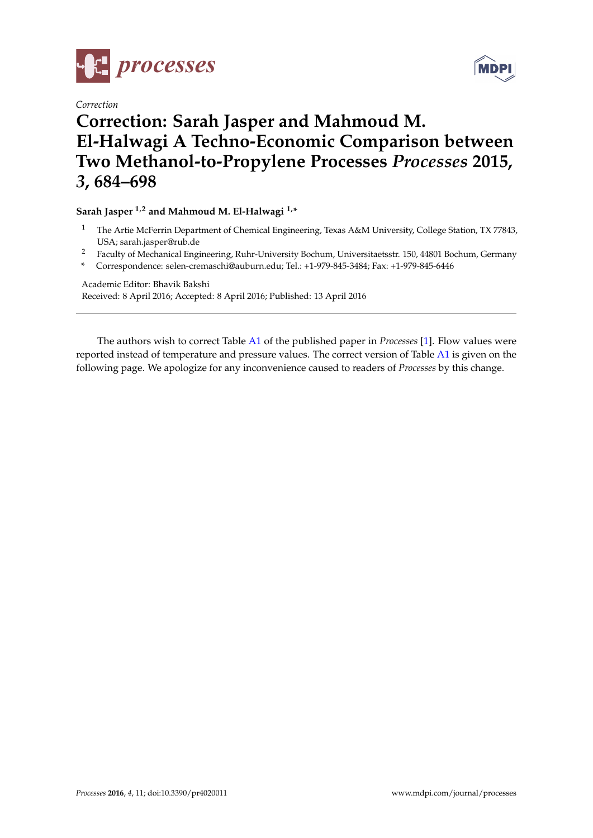

*Correction*



## **Correction: Sarah Jasper and Mahmoud M. El-Halwagi A Techno-Economic Comparison between Two Methanol-to-Propylene Processes** *Processes* **2015,** *3***, 684–698**

## **Sarah Jasper 1,2 and Mahmoud M. El-Halwagi 1,\***

- <sup>1</sup> The Artie McFerrin Department of Chemical Engineering, Texas A&M University, College Station, TX 77843, USA; sarah.jasper@rub.de
- <sup>2</sup> Faculty of Mechanical Engineering, Ruhr-University Bochum, Universitaetsstr. 150, 44801 Bochum, Germany
- **\*** Correspondence: selen-cremaschi@auburn.edu; Tel.: +1-979-845-3484; Fax: +1-979-845-6446

Academic Editor: Bhavik Bakshi Received: 8 April 2016; Accepted: 8 April 2016; Published: 13 April 2016

The authors wish to correct Table [A1](#page-1-0) of the published paper in *Processes* [\[1\]](#page-2-0). Flow values were reported instead of temperature and pressure values. The correct version of Table [A1](#page-1-0) is given on the following page. We apologize for any inconvenience caused to readers of *Processes* by this change.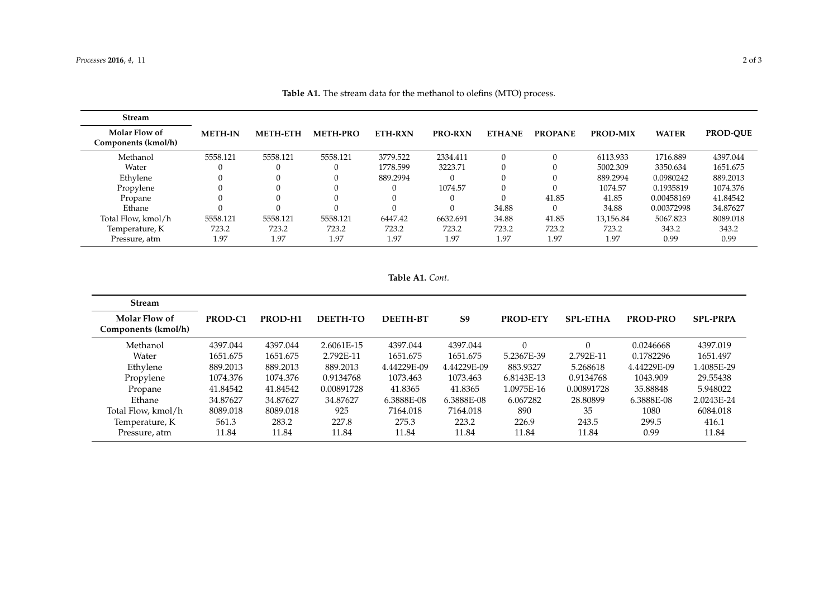| <b>Stream</b>                        |                |                 |                 |                |                |               |                |                 |              |                 |
|--------------------------------------|----------------|-----------------|-----------------|----------------|----------------|---------------|----------------|-----------------|--------------|-----------------|
| Molar Flow of<br>Components (kmol/h) | <b>METH-IN</b> | <b>METH-ETH</b> | <b>METH-PRO</b> | <b>ETH-RXN</b> | <b>PRO-RXN</b> | <b>ETHANE</b> | <b>PROPANE</b> | <b>PROD-MIX</b> | <b>WATER</b> | <b>PROD-OUE</b> |
| Methanol                             | 5558.121       | 5558.121        | 5558.121        | 3779.522       | 2334.411       | 0             | $\Omega$       | 6113.933        | 1716.889     | 4397.044        |
| Water                                |                |                 |                 | 1778.599       | 3223.71        | 0             |                | 5002.309        | 3350.634     | 1651.675        |
| Ethylene                             |                |                 |                 | 889.2994       |                | 0             |                | 889.2994        | 0.0980242    | 889.2013        |
| Propylene                            |                |                 |                 | 0              | 1074.57        | $\Omega$      | $\Omega$       | 1074.57         | 0.1935819    | 1074.376        |
| Propane                              |                |                 |                 |                |                | 0             | 41.85          | 41.85           | 0.00458169   | 41.84542        |
| Ethane                               |                |                 |                 |                |                | 34.88         | $\Omega$       | 34.88           | 0.00372998   | 34.87627        |
| Total Flow, kmol/h                   | 5558.121       | 5558.121        | 5558.121        | 6447.42        | 6632.691       | 34.88         | 41.85          | 13,156.84       | 5067.823     | 8089.018        |
| Temperature, K                       | 723.2          | 723.2           | 723.2           | 723.2          | 723.2          | 723.2         | 723.2          | 723.2           | 343.2        | 343.2           |
| Pressure, atm                        | 1.97           | 1.97            | 1.97            | 1.97           | 1.97           | 1.97          | 1.97           | 1.97            | 0.99         | 0.99            |

**Table A1.** The stream data for the methanol to olefins (MTO) process.

**Table A1.** *Cont.*

<span id="page-1-0"></span>

| <b>Stream</b>                        |          |          |                 |                 |                |                 |                 |             |                 |
|--------------------------------------|----------|----------|-----------------|-----------------|----------------|-----------------|-----------------|-------------|-----------------|
| Molar Flow of<br>Components (kmol/h) | PROD-C1  | PROD-H1  | <b>DEETH-TO</b> | <b>DEETH-BT</b> | S <sub>9</sub> | <b>PROD-ETY</b> | <b>SPL-ETHA</b> | PROD-PRO    | <b>SPL-PRPA</b> |
| Methanol                             | 4397.044 | 4397.044 | 2.6061E-15      | 4397.044        | 4397.044       |                 | 0               | 0.0246668   | 4397.019        |
| Water                                | 1651.675 | 1651.675 | 2.792E-11       | 1651.675        | 1651.675       | 5.2367E-39      | 2.792E-11       | 0.1782296   | 1651.497        |
| Ethylene                             | 889.2013 | 889.2013 | 889.2013        | 4.44229E-09     | 4.44229E-09    | 883.9327        | 5.268618        | 4.44229E-09 | 1.4085E-29      |
| Propylene                            | 1074.376 | 1074.376 | 0.9134768       | 1073.463        | 1073.463       | 6.8143E-13      | 0.9134768       | 1043.909    | 29.55438        |
| Propane                              | 41.84542 | 41.84542 | 0.00891728      | 41.8365         | 41.8365        | 1.0975E-16      | 0.00891728      | 35.88848    | 5.948022        |
| Ethane                               | 34.87627 | 34.87627 | 34.87627        | 6.3888E-08      | 6.3888E-08     | 6.067282        | 28.80899        | 6.3888E-08  | 2.0243E-24      |
| Total Flow, kmol/h                   | 8089.018 | 8089.018 | 925             | 7164.018        | 7164.018       | 890             | 35              | 1080        | 6084.018        |
| Temperature, K                       | 561.3    | 283.2    | 227.8           | 275.3           | 223.2          | 226.9           | 243.5           | 299.5       | 416.1           |
| Pressure, atm                        | 11.84    | 11.84    | 11.84           | 11.84           | 11.84          | 11.84           | 11.84           | 0.99        | 11.84           |